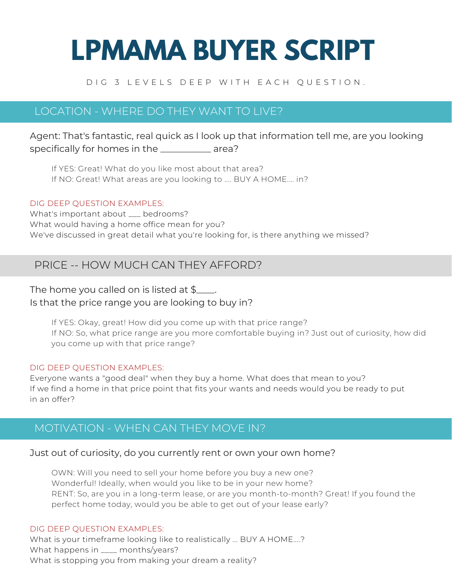# **LPMAMA BUYER SCRIPT**

#### D I G 3 L E V E L S D E E P W I T H E A C H Q U E S T I O N .

# LOCATION - WHERE DO THEY WANT TO LIVE?

Agent: That's fantastic, real quick as I look up that information tell me, are you looking specifically for homes in the \_\_\_\_\_\_\_\_\_\_\_ area?

If YES: Great! What do you like most about that area? If NO: Great! What areas are you looking to .... BUY A HOME.... in?

#### DIG DEEP QUESTION EXAMPLES:

What's important about \_\_\_ bedrooms? What would having a home office mean for you? We've discussed in great detail what you're looking for, is there anything we missed?

# PRICE -- HOW MUCH CAN THEY AFFORD?

## The home you called on is listed at  $\frac{1}{2}$ . Is that the price range you are looking to buy in?

If YES: Okay, great! How did you come up with that price range? If NO: So, what price range are you more comfortable buying in? Just out of curiosity, how did you come up with that price range?

#### DIG DEEP QUESTION EXAMPLES:

Everyone wants a "good deal" when they buy a home. What does that mean to you? If we find a home in that price point that fits your wants and needs would you be ready to put in an offer?

# MOTIVATION - WHEN CAN THEY MOVE IN?

#### Just out of curiosity, do you currently rent or own your own home?

OWN: Will you need to sell your home before you buy a new one? Wonderful! Ideally, when would you like to be in your new home? RENT: So, are you in a long-term lease, or are you month-to-month? Great! If you found the perfect home today, would you be able to get out of your lease early?

#### DIG DEEP QUESTION EXAMPLES:

What is your timeframe looking like to realistically ... BUY A HOME....? What happens in \_\_\_\_ months/years? What is stopping you from making your dream a reality?